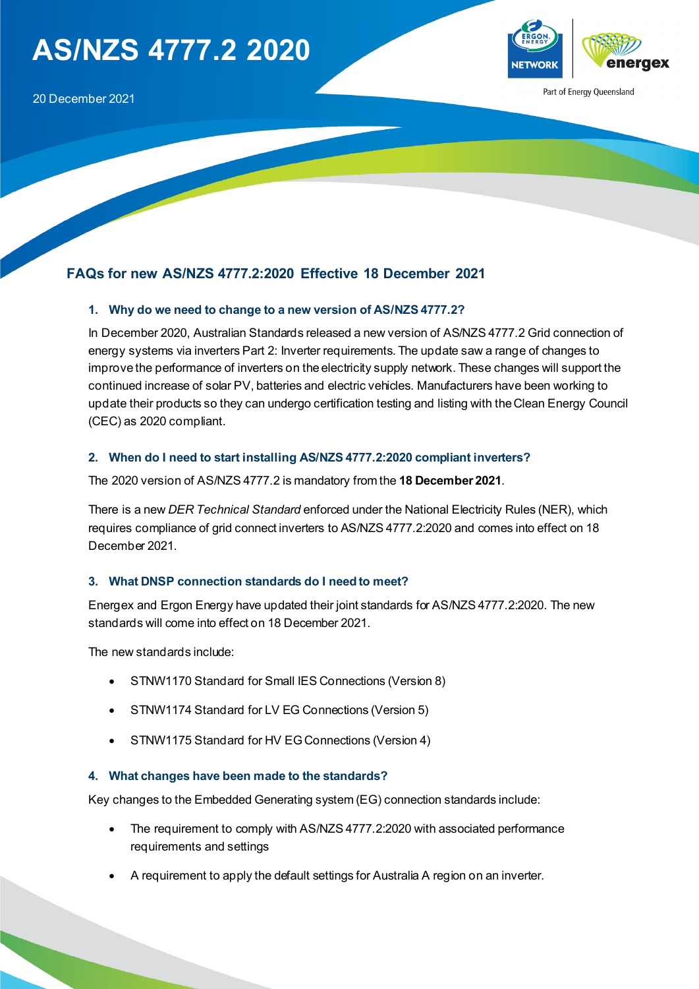# **AS/NZS 4777.2 2020**



Part of Energy Queensland

# **FAQs for new AS/NZS 4777.2:2020 Effective 18 December 2021**

#### **1. Why do we need to change to a new version of AS/NZS 4777.2?**

In December 2020, Australian Standards released a new version of AS/NZS 4777.2 Grid connection of energy systems via inverters Part 2: Inverter requirements. The update saw a range of changes to improve the performance of inverters on the electricity supply network. These changes will support the continued increase of solar PV, batteries and electric vehicles. Manufacturers have been working to update their products so they can undergo certification testing and listing with the Clean Energy Council (CEC) as 2020 compliant.

## **2. When do I need to start installing AS/NZS 4777.2:2020 compliant inverters?**

The 2020 version of AS/NZS 4777.2 is mandatory from the **18 December 2021**.

There is a new *DER Technical Standard* enforced under the National Electricity Rules (NER), which requires compliance of grid connect inverters to AS/NZS 4777.2:2020 and comes into effect on 18 December 2021.

#### **3. What DNSP connection standards do I need to meet?**

Energex and Ergon Energy have updated their joint standards for AS/NZS 4777.2:2020. The new standards will come into effect on 18 December 2021.

The new standards include:

- STNW1170 Standard for Small IES Connections (Version 8)
- STNW1174 Standard for LV EG Connections (Version 5)
- STNW1175 Standard for HV EG Connections (Version 4)

#### **4. What changes have been made to the standards?**

Key changes to the Embedded Generating system (EG) connection standards include:

- The requirement to comply with AS/NZS 4777.2:2020 with associated performance requirements and settings
- A requirement to apply the default settings for Australia A region on an inverter.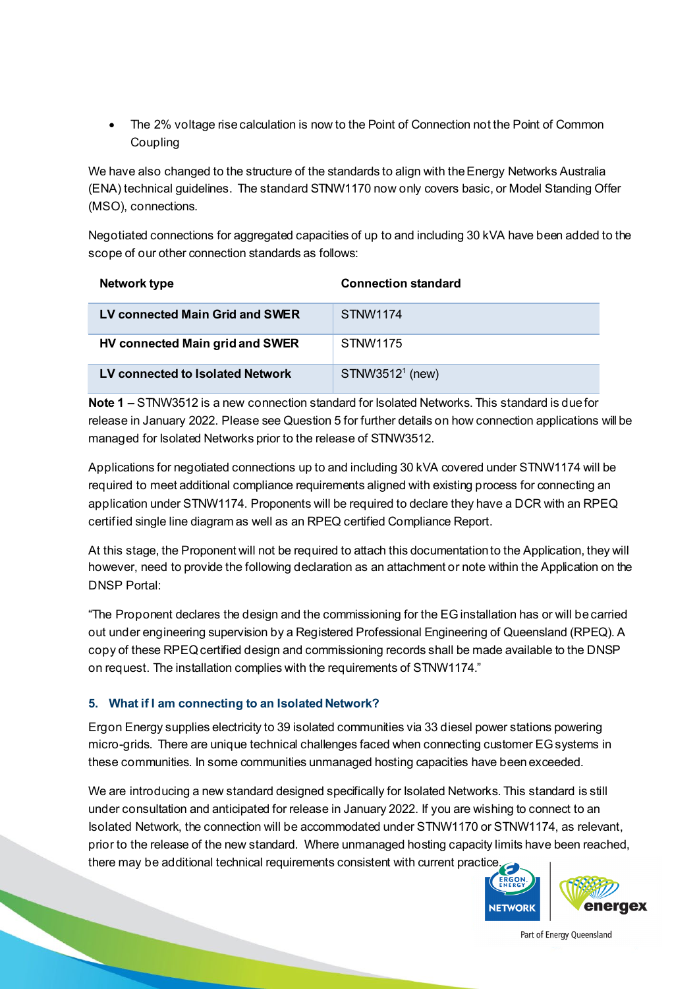• The 2% voltage rise calculation is now to the Point of Connection not the Point of Common **Coupling** 

We have also changed to the structure of the standards to align with the Energy Networks Australia (ENA) technical guidelines. The standard STNW1170 now only covers basic, or Model Standing Offer (MSO), connections.

Negotiated connections for aggregated capacities of up to and including 30 kVA have been added to the scope of our other connection standards as follows:

| Network type                     | <b>Connection standard</b> |
|----------------------------------|----------------------------|
| LV connected Main Grid and SWER  | STNW1174                   |
| HV connected Main grid and SWER  | STNW1175                   |
| LV connected to Isolated Network | $STNW35121$ (new)          |

**Note 1 –** STNW3512 is a new connection standard for Isolated Networks. This standard is due for release in January 2022. Please see Question 5 for further details on how connection applications will be managed for Isolated Networks prior to the release of STNW3512.

Applications for negotiated connections up to and including 30 kVA covered under STNW1174 will be required to meet additional compliance requirements aligned with existing process for connecting an application under STNW1174. Proponents will be required to declare they have a DCR with an RPEQ certified single line diagram as well as an RPEQ certified Compliance Report.

At this stage, the Proponent will not be required to attach this documentation to the Application, they will however, need to provide the following declaration as an attachment or note within the Application on the DNSP Portal:

"The Proponent declares the design and the commissioning for the EG installation has or will be carried out under engineering supervision by a Registered Professional Engineering of Queensland (RPEQ). A copy of these RPEQ certified design and commissioning records shall be made available to the DNSP on request. The installation complies with the requirements of STNW1174."

# **5. What if I am connecting to an Isolated Network?**

Ergon Energy supplies electricity to 39 isolated communities via 33 diesel power stations powering micro-grids. There are unique technical challenges faced when connecting customer EG systems in these communities. In some communities unmanaged hosting capacities have been exceeded.

We are introducing a new standard designed specifically for Isolated Networks. This standard is still under consultation and anticipated for release in January 2022. If you are wishing to connect to an Isolated Network, the connection will be accommodated under STNW1170 or STNW1174, as relevant, prior to the release of the new standard. Where unmanaged hosting capacity limits have been reached, there may be additional technical requirements consistent with current practice.

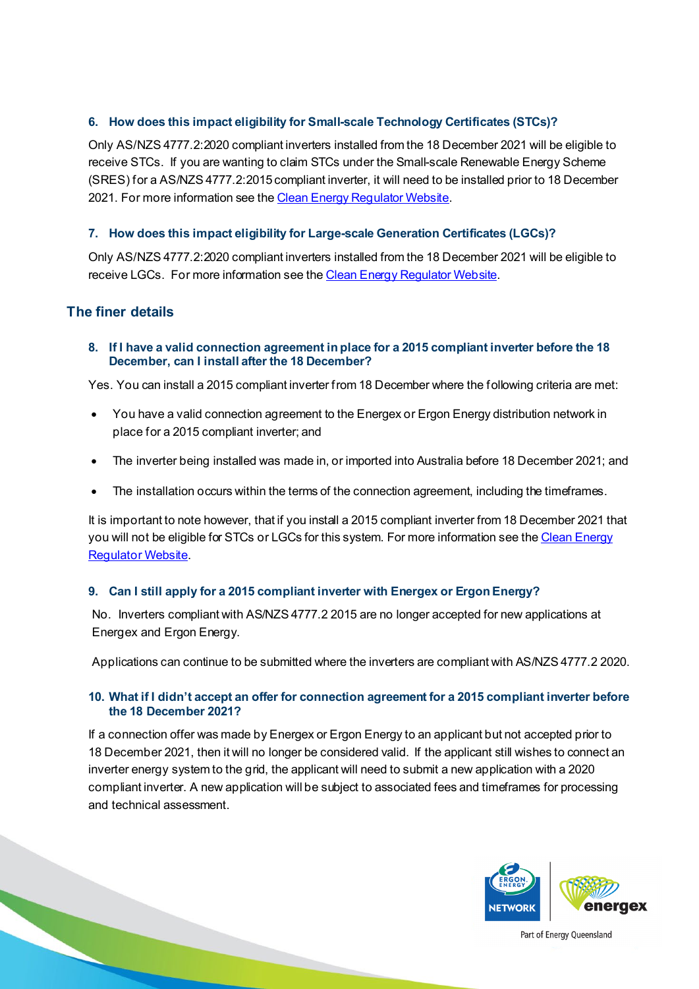## **6. How does this impact eligibility for Small-scale Technology Certificates (STCs)?**

Only AS/NZS 4777.2:2020 compliant inverters installed from the 18 December 2021 will be eligible to receive STCs. If you are wanting to claim STCs under the Small-scale Renewable Energy Scheme (SRES) for a AS/NZS 4777.2:2015 compliant inverter, it will need to be installed prior to 18 December 2021. For more information see th[e Clean Energy Regulator Website](http://www.cleanenergyregulator.gov.au/RET/Pages/News%20and%20updates/NewsItem.aspx?ListId=19b4efbb-6f5d-4637-94c4-121c1f96fcfe&ItemId=979).

## **7. How does this impact eligibility for Large-scale Generation Certificates (LGCs)?**

Only AS/NZS 4777.2:2020 compliant inverters installed from the 18 December 2021 will be eligible to receive LGCs. For more information see th[e Clean Energy Regulator Website](http://www.cleanenergyregulator.gov.au/RET/Pages/News%20and%20updates/NewsItem.aspx?ListId=19b4efbb-6f5d-4637-94c4-121c1f96fcfe&ItemId=979).

# **The finer details**

**8. If I have a valid connection agreement in place for a 2015 compliant inverter before the 18 December, can I install after the 18 December?**

Yes. You can install a 2015 compliant inverter from 18 December where the following criteria are met:

- You have a valid connection agreement to the Energex or Ergon Energy distribution network in place for a 2015 compliant inverter; and
- The inverter being installed was made in, or imported into Australia before 18 December 2021; and
- The installation occurs within the terms of the connection agreement, including the timeframes.

It is important to note however, that if you install a 2015 compliant inverter from 18 December 2021 that you will not be eligible for STCs or LGCs for this system. For more information see th[e Clean Energy](http://www.cleanenergyregulator.gov.au/RET/Pages/News%20and%20updates/NewsItem.aspx?ListId=19b4efbb-6f5d-4637-94c4-121c1f96fcfe&ItemId=979)  **Requlator Website.** 

# **9. Can I still apply for a 2015 compliant inverter with Energex or Ergon Energy?**

No. Inverters compliant with AS/NZS 4777.2 2015 are no longer accepted for new applications at Energex and Ergon Energy.

Applications can continue to be submitted where the inverters are compliant with AS/NZS 4777.2 2020.

## **10. What if I didn't accept an offer for connection agreement for a 2015 compliant inverter before the 18 December 2021?**

If a connection offer was made by Energex or Ergon Energy to an applicant but not accepted prior to 18 December 2021, then it will no longer be considered valid. If the applicant still wishes to connect an inverter energy system to the grid, the applicant will need to submit a new application with a 2020 compliant inverter. A new application will be subject to associated fees and timeframes for processing and technical assessment.

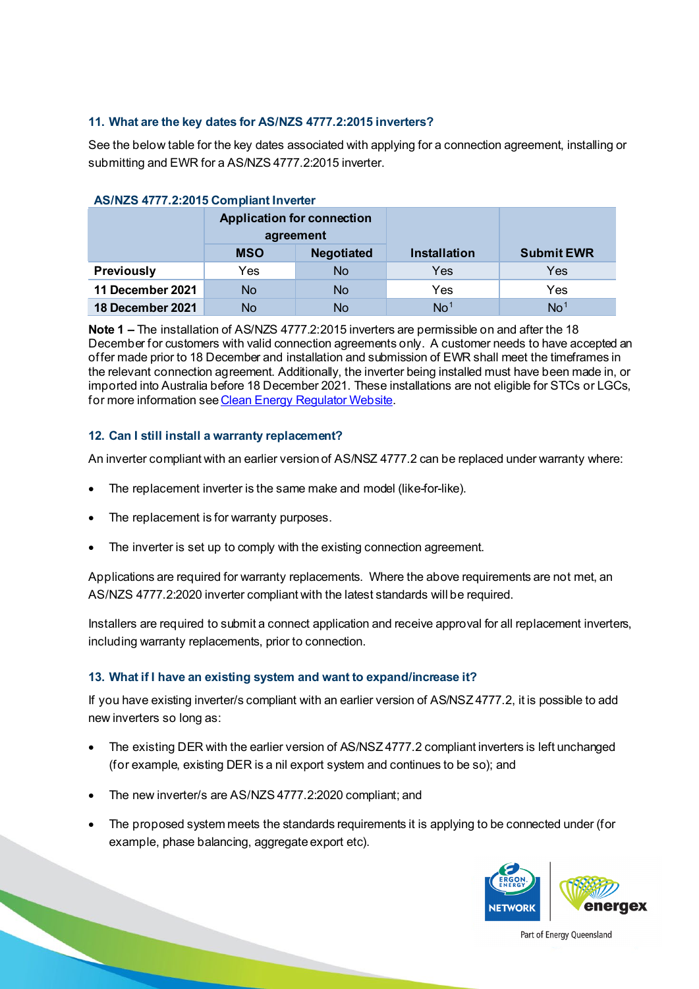#### **11. What are the key dates for AS/NZS 4777.2:2015 inverters?**

See the below table for the key dates associated with applying for a connection agreement, installing or submitting and EWR for a AS/NZS 4777.2:2015 inverter.

| <b>AUTRO THE LEAD TO UNITED INTO A</b> |                                                |                   |                     |                   |  |
|----------------------------------------|------------------------------------------------|-------------------|---------------------|-------------------|--|
|                                        | <b>Application for connection</b><br>agreement |                   |                     |                   |  |
|                                        | <b>MSO</b>                                     | <b>Negotiated</b> | <b>Installation</b> | <b>Submit EWR</b> |  |
| <b>Previously</b>                      | Yes                                            | No                | Yes                 | Yes               |  |
| 11 December 2021                       | No                                             | No                | Yes                 | Yes               |  |
| 18 December 2021                       | <b>No</b>                                      | No                | No <sup>1</sup>     | No <sup>1</sup>   |  |

## **AS/NZS 4777.2:2015 Compliant Inverter**

**Note 1 –** The installation of AS/NZS 4777.2:2015 inverters are permissible on and after the 18 December for customers with valid connection agreements only. A customer needs to have accepted an offer made prior to 18 December and installation and submission of EWR shall meet the timeframes in the relevant connection agreement. Additionally, the inverter being installed must have been made in, or imported into Australia before 18 December 2021. These installations are not eligible for STCs or LGCs, for more information se[e Clean Energy Regulator Website](http://www.cleanenergyregulator.gov.au/RET/Pages/News%20and%20updates/NewsItem.aspx?ListId=19b4efbb-6f5d-4637-94c4-121c1f96fcfe&ItemId=979).

## **12. Can I still install a warranty replacement?**

An inverter compliant with an earlier version of AS/NSZ 4777.2 can be replaced under warranty where:

- The replacement inverter is the same make and model (like-for-like).
- The replacement is for warranty purposes.
- The inverter is set up to comply with the existing connection agreement.

Applications are required for warranty replacements. Where the above requirements are not met, an AS/NZS 4777.2:2020 inverter compliant with the latest standards will be required.

Installers are required to submit a connect application and receive approval for all replacement inverters, including warranty replacements, prior to connection.

## **13. What if I have an existing system and want to expand/increase it?**

If you have existing inverter/s compliant with an earlier version of AS/NSZ 4777.2, it is possible to add new inverters so long as:

- The existing DER with the earlier version of AS/NSZ 4777.2 compliant inverters is left unchanged (for example, existing DER is a nil export system and continues to be so); and
- The new inverter/s are AS/NZS 4777.2:2020 compliant; and
- The proposed system meets the standards requirements it is applying to be connected under (for example, phase balancing, aggregate export etc).